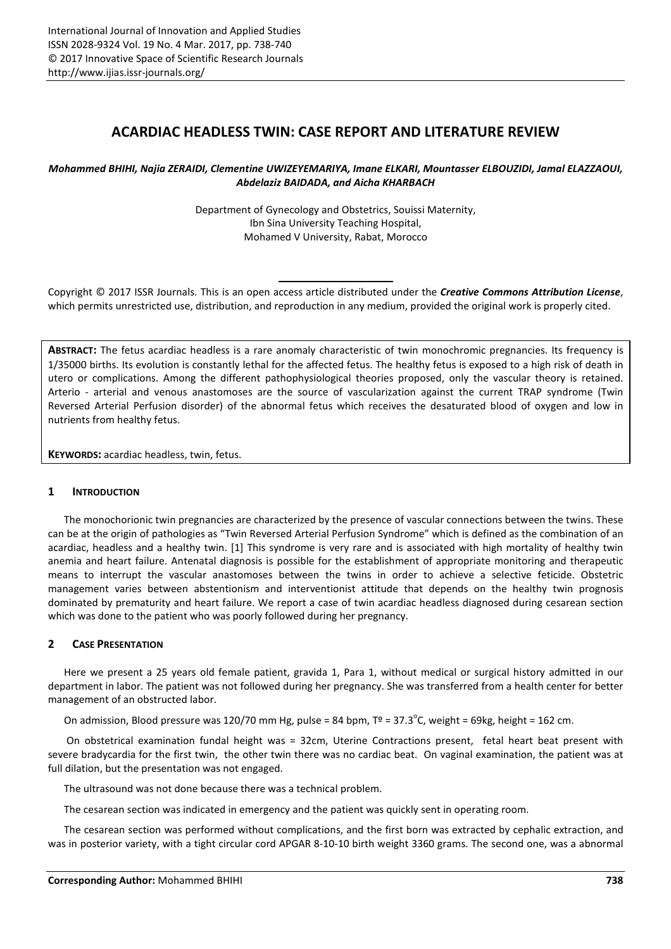# **ACARDIAC HEADLESS TWIN: CASE REPORT AND LITERATURE REVIEW**

#### *Mohammed BHIHI, Najia ZERAIDI, Clementine UWIZEYEMARIYA, Imane ELKARI, Mountasser ELBOUZIDI, Jamal ELAZZAOUI, Abdelaziz BAIDADA, and Aicha KHARBACH*

Department of Gynecology and Obstetrics, Souissi Maternity, Ibn Sina University Teaching Hospital, Mohamed V University, Rabat, Morocco

Copyright © 2017 ISSR Journals. This is an open access article distributed under the *Creative Commons Attribution License*, which permits unrestricted use, distribution, and reproduction in any medium, provided the original work is properly cited.

**ABSTRACT:** The fetus acardiac headless is a rare anomaly characteristic of twin monochromic pregnancies. Its frequency is 1/35000 births. Its evolution is constantly lethal for the affected fetus. The healthy fetus is exposed to a high risk of death in utero or complications. Among the different pathophysiological theories proposed, only the vascular theory is retained. Arterio - arterial and venous anastomoses are the source of vascularization against the current TRAP syndrome (Twin Reversed Arterial Perfusion disorder) of the abnormal fetus which receives the desaturated blood of oxygen and low in nutrients from healthy fetus.

**KEYWORDS:** acardiac headless, twin, fetus.

## **1 INTRODUCTION**

The monochorionic twin pregnancies are characterized by the presence of vascular connections between the twins. These can be at the origin of pathologies as "Twin Reversed Arterial Perfusion Syndrome" which is defined as the combination of an acardiac, headless and a healthy twin. [1] This syndrome is very rare and is associated with high mortality of healthy twin anemia and heart failure. Antenatal diagnosis is possible for the establishment of appropriate monitoring and therapeutic means to interrupt the vascular anastomoses between the twins in order to achieve a selective feticide. Obstetric management varies between abstentionism and interventionist attitude that depends on the healthy twin prognosis dominated by prematurity and heart failure. We report a case of twin acardiac headless diagnosed during cesarean section which was done to the patient who was poorly followed during her pregnancy.

## **2 CASE PRESENTATION**

Here we present a 25 years old female patient, gravida 1, Para 1, without medical or surgical history admitted in our department in labor. The patient was not followed during her pregnancy. She was transferred from a health center for better management of an obstructed labor.

On admission, Blood pressure was 120/70 mm Hg, pulse = 84 bpm,  $T<sup>2</sup>$  = 37.3°C, weight = 69kg, height = 162 cm.

 On obstetrical examination fundal height was = 32cm, Uterine Contractions present, fetal heart beat present with severe bradycardia for the first twin, the other twin there was no cardiac beat. On vaginal examination, the patient was at full dilation, but the presentation was not engaged.

The ultrasound was not done because there was a technical problem.

The cesarean section was indicated in emergency and the patient was quickly sent in operating room.

The cesarean section was performed without complications, and the first born was extracted by cephalic extraction, and was in posterior variety, with a tight circular cord APGAR 8-10-10 birth weight 3360 grams. The second one, was a abnormal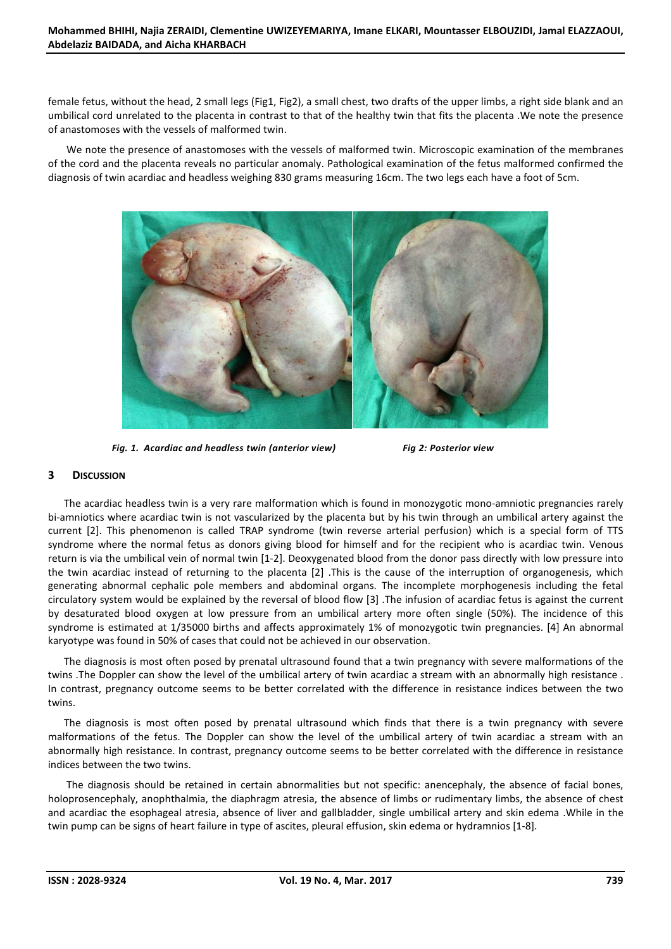female fetus, without the head, 2 small legs (Fig1, Fig2), a small chest, two drafts of the upper limbs, a right side blank and an umbilical cord unrelated to the placenta in contrast to that of the healthy twin that fits the placenta .We note the presence of anastomoses with the vessels of malformed twin.

 We note the presence of anastomoses with the vessels of malformed twin. Microscopic examination of the membranes of the cord and the placenta reveals no particular anomaly. Pathological examination of the fetus malformed confirmed the diagnosis of twin acardiac and headless weighing 830 grams measuring 16cm. The two legs each have a foot of 5cm.



*Fig. 1. Acardiac and headless twin (anterior view) Fig 2: Posterior view* 



#### **3 DISCUSSION**

The acardiac headless twin is a very rare malformation which is found in monozygotic mono-amniotic pregnancies rarely bi-amniotics where acardiac twin is not vascularized by the placenta but by his twin through an umbilical artery against the current [2]. This phenomenon is called TRAP syndrome (twin reverse arterial perfusion) which is a special form of TTS syndrome where the normal fetus as donors giving blood for himself and for the recipient who is acardiac twin. Venous return is via the umbilical vein of normal twin [1-2]. Deoxygenated blood from the donor pass directly with low pressure into the twin acardiac instead of returning to the placenta [2] .This is the cause of the interruption of organogenesis, which generating abnormal cephalic pole members and abdominal organs. The incomplete morphogenesis including the fetal circulatory system would be explained by the reversal of blood flow [3] .The infusion of acardiac fetus is against the current by desaturated blood oxygen at low pressure from an umbilical artery more often single (50%). The incidence of this syndrome is estimated at 1/35000 births and affects approximately 1% of monozygotic twin pregnancies. [4] An abnormal karyotype was found in 50% of cases that could not be achieved in our observation.

The diagnosis is most often posed by prenatal ultrasound found that a twin pregnancy with severe malformations of the twins .The Doppler can show the level of the umbilical artery of twin acardiac a stream with an abnormally high resistance . In contrast, pregnancy outcome seems to be better correlated with the difference in resistance indices between the two twins.

The diagnosis is most often posed by prenatal ultrasound which finds that there is a twin pregnancy with severe malformations of the fetus. The Doppler can show the level of the umbilical artery of twin acardiac a stream with an abnormally high resistance. In contrast, pregnancy outcome seems to be better correlated with the difference in resistance indices between the two twins.

The diagnosis should be retained in certain abnormalities but not specific: anencephaly, the absence of facial bones, holoprosencephaly, anophthalmia, the diaphragm atresia, the absence of limbs or rudimentary limbs, the absence of chest and acardiac the esophageal atresia, absence of liver and gallbladder, single umbilical artery and skin edema .While in the twin pump can be signs of heart failure in type of ascites, pleural effusion, skin edema or hydramnios [1-8].